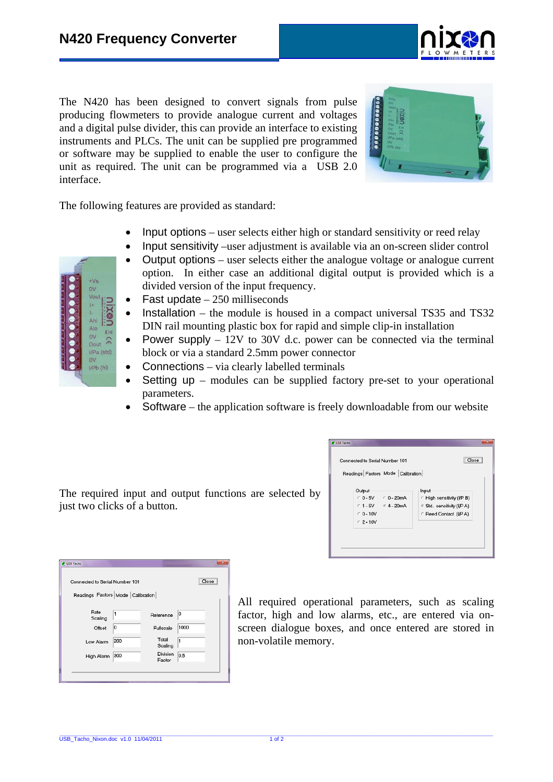The N420 has been designed to convert signals from pulse producing flowmeters to provide analogue current and voltages and a digital pulse divider, this can provide an interface to existing instruments and PLCs. The unit can be supplied pre programmed or software may be supplied to enable the user to configure the unit as required. The unit can be programmed via a USB 2.0 interface.



The following features are provided as standard:

- Input options user selects either high or standard sensitivity or reed relay
- Input sensitivity –user adjustment is available via an on-screen slider control
- Output options user selects either the analogue voltage or analogue current option. In either case an additional digital output is provided which is a divided version of the input frequency.
- Fast update  $-250$  milliseconds
- Installation the module is housed in a compact universal TS35 and TS32 DIN rail mounting plastic box for rapid and simple clip-in installation
- Power supply  $-12V$  to 30V d.c. power can be connected via the terminal block or via a standard 2.5mm power connector
- Connections via clearly labelled terminals
- Setting up modules can be supplied factory pre-set to your operational parameters.
- Software the application software is freely downloadable from our website

The required input and output functions are selected by just two clicks of a button.

| Output<br>Input                                           |  |
|-----------------------------------------------------------|--|
|                                                           |  |
| $C = 5V$<br>$C$ 0 - 20mA<br>← High sensitivity (I/P B)    |  |
| $C = 1 - 5V$ $C = 4 - 20mA$<br>6 Std. sensitivity (I/P A) |  |
| $C = 0 - 10V$<br><b>C</b> Reed Contact (I/P A)            |  |
| $C$ 2 - 10V                                               |  |

| Connected to Serial Number 101    |     |                           |      |  |
|-----------------------------------|-----|---------------------------|------|--|
| Readings Factors Mode Calibration |     |                           |      |  |
|                                   |     |                           |      |  |
| Rate<br>Scaling                   | 1   | Reference                 | 0    |  |
| Offset                            | 10  | Fullscale                 | 1000 |  |
| Low Alarm                         | 200 | Total<br>Scaling          | 1    |  |
| High Alarm                        | 300 | <b>Division</b><br>Factor | 0.5  |  |

All required operational parameters, such as scaling factor, high and low alarms, etc., are entered via onscreen dialogue boxes, and once entered are stored in non-volatile memory.